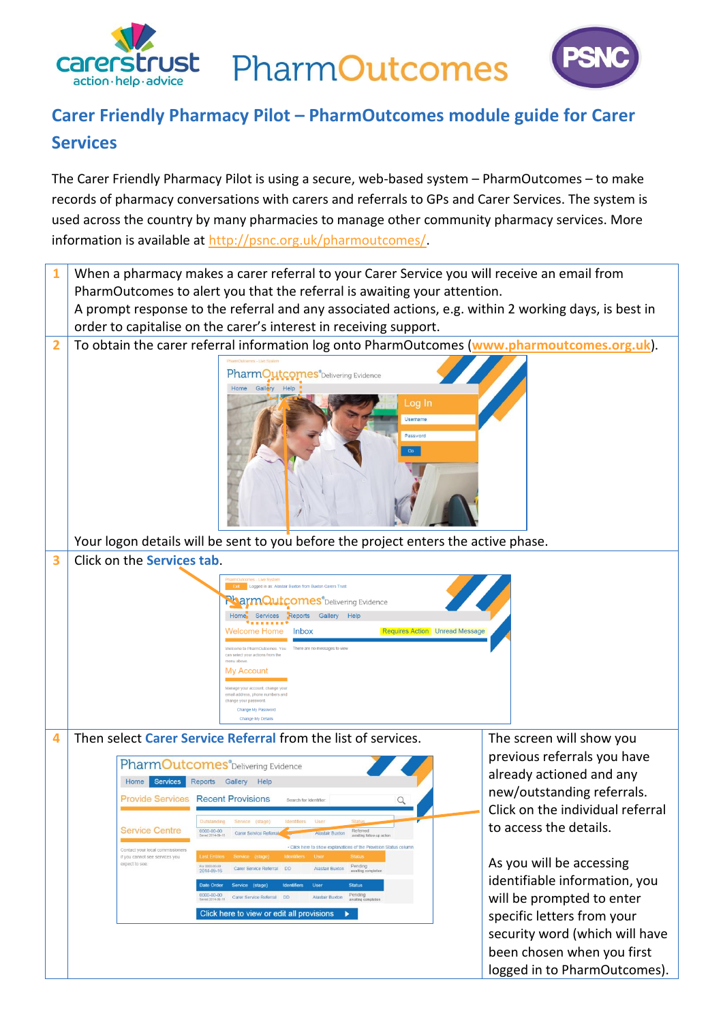

ust PharmOutcomes



## **Carer Friendly Pharmacy Pilot – PharmOutcomes module guide for Carer Services**

The Carer Friendly Pharmacy Pilot is using a secure, web-based system – PharmOutcomes – to make records of pharmacy conversations with carers and referrals to GPs and Carer Services. The system is used across the country by many pharmacies to manage other community pharmacy services. More information is available at [http://psnc.org.uk/pharmoutcomes/.](http://psnc.org.uk/pharmoutcomes/)